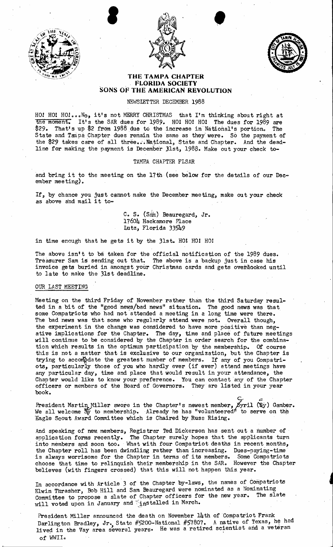





## **THE TAMPA CHAPTER**  . . **FLORIDA SOCIETY SONS OF THE AMERICAN REVOLUTION**

NEWSLETTER DECEMBER 1988

HO! HO! HO!...No, it's not MERRY CHRISTMAS that I'm thinking about right at the moment. It's the SAR dues for 1989. HOI HO! HO! The dues for 1989 are \$29. That's up \$2 from 1988 due to the increase in National's portion. The State and Tanpa Chapter dues remain the same as they were. So the payment of the \$29 takes care of all three... National, State and Chapter. And the deadline for making the payment is December *J*1st, 1988. Make out your check to-

## TAMBA CHAPTER FLSAR

and bring it to the meeting on the 17th (see below for the details of our December mee ting).

If, by chance you just cannot make the December meeting, make out your check as above and mail it to-

> C. S. (Sam) Beauregard, Jr. 17604 Hackamore Place Lutz, Florida 33549

in time enough that he gets it by the 31st. HOl HO! HO!

The above isn't to be taken for the official notification of the 1989 dues. Treasurer Sam is sending out that. The above is a backup just in case his invoice gets buried in amongst your Christmaa cards and gets over dooked until to late to make the 31st deadline.

## OUR LAST MEETING

Meeting on the third Friday of November rather than the third Saturday resulted in a bit of the "good news/bad news" situation. The good news was that some Compatriots who had not attended a meeting in a long time were there. The bad news was that some who regularly attend were not. Overall though, the experiment in the change was considered to have more positive than negative implications for the Chapter. The day, time and place of future meetings will continue to be considered by the Chapter in order search for the combination which results in the optimum participation by the membership. or course this is not a matter that is exclusive to our organization, but the Chapter is trying to accompdate the greatest number of members. If any of you Compatriots, particularly those of you who hardly ever (if ever) attend meetings have any particular day, time and place that would result in your attendance, the Chapter would like to know your preference. You can contact any of the Chapter officers or members of the Board of Governors. They are listed in your year book.

c.. *<sup>a</sup>* President Martin Miller swore in the Chapter's newest member,  $\beta$ yril (Sy) Gamber. We all welcome  $\frac{S_V}{N}$  to membership. Already he has "volunteered" to serve on the Eagle Scout Award Committee which is Chaired by Russ Rising.

lmd speaking of new, members, Registrar Ted Dickerson has sent out a number of application forms recently. The Chapter surely hopes that the applicants turn into members and soon too. What with four Compatriot deaths in recent months, the Chapter roll has been dwindling rather than increasing. Dues-paying-time' is always worrisome for the Chapter in terms of its members. Some Compatriots choose that time to relinquish their membership in the SAR. However the Chapter believes (with fingers crossed) that this will not happen this year.

In accordance with Article 3 of the Chapter by-laws, the names of Compatriots Elwin Thrasher, Bob Hill and Sam Beauregard were nominated as a Nominating Committee to propose a slate of Chapter officers for the new year. The slate will voted upon in January and  $\frac{1}{4}$  installed in March.

President Miller announced the death on November 14th of Compatriot Frank Darlington Bradley, Jr., State #5200-National #57807. A native of Texas, he had lived in the Vay area several years. He was a retired scientist and a veteran of WWII.